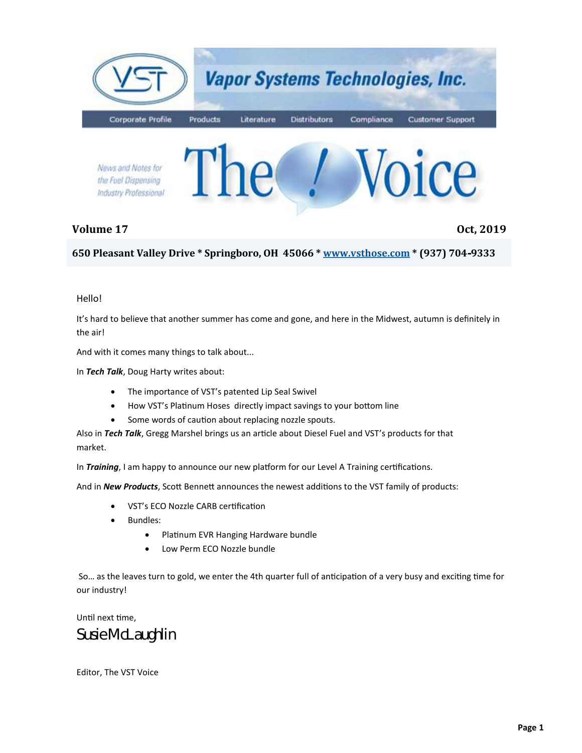

#### **Volume 17 Oct, 2019**

**650 Pleasant Valley Drive \* Springboro, OH 45066 \* [www.vsthose.com](http://www.vsthose.com) \* (937) 704-9333**

#### Hello!

It's hard to believe that another summer has come and gone, and here in the Midwest, autumn is definitely in the air!

And with it comes many things to talk about...

In *Tech Talk*, Doug Harty writes about:

- The importance of VST's patented Lip Seal Swivel
- How VST's Platinum Hoses directly impact savings to your bottom line
- Some words of caution about replacing nozzle spouts.

Also in *Tech Talk*, Gregg Marshel brings us an article about Diesel Fuel and VST's products for that market.

In *Training*, I am happy to announce our new platform for our Level A Training certifications.

And in *New Products*, Scott Bennett announces the newest additions to the VST family of products:

- VST's ECO Nozzle CARB certification
- Bundles:
	- Platinum EVR Hanging Hardware bundle
	- Low Perm ECO Nozzle bundle

So… as the leaves turn to gold, we enter the 4th quarter full of anticipation of a very busy and exciting time for our industry!

Until next time, *Susie McLaughlin*

Editor, The VST Voice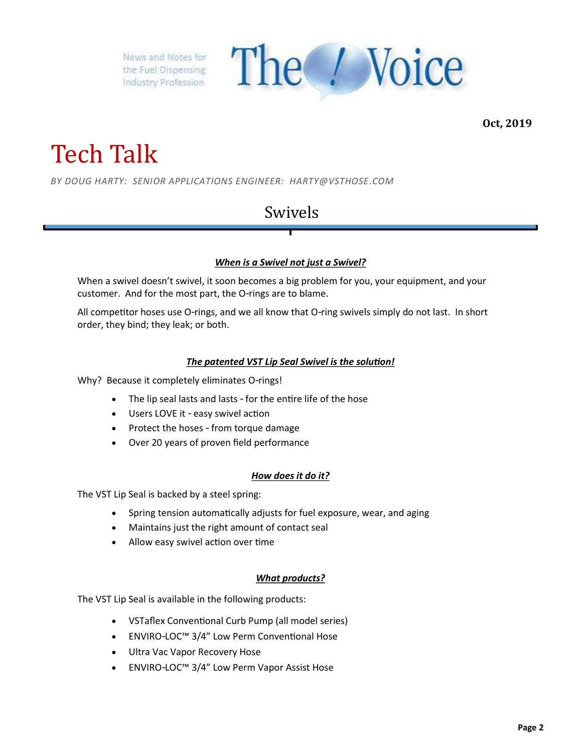

**Oct, 2019**

## Tech Talk

*BY DOUG HARTY: SENIOR APPLICATIONS ENGINEER: HARTY@VSTHOSE.COM*

### Swivels

#### *When is a Swivel not just a Swivel?*

When a swivel doesn't swivel, it soon becomes a big problem for you, your equipment, and your customer. And for the most part, the O-rings are to blame.

All competitor hoses use O-rings, and we all know that O-ring swivels simply do not last. In short order, they bind; they leak; or both.

#### *The patented VST Lip Seal Swivel is the solution!*

Why? Because it completely eliminates O-rings!

- The lip seal lasts and lasts for the entire life of the hose
- Users LOVE it easy swivel action
- Protect the hoses from torque damage
- Over 20 years of proven field performance

#### *How does it do it?*

The VST Lip Seal is backed by a steel spring:

- Spring tension automatically adjusts for fuel exposure, wear, and aging
- Maintains just the right amount of contact seal
- Allow easy swivel action over time

#### *What products?*

The VST Lip Seal is available in the following products:

- VSTaflex Conventional Curb Pump (all model series)
- ENVIRO-LOC™ 3/4" Low Perm Conventional Hose
- Ultra Vac Vapor Recovery Hose
- ENVIRO-LOC™ 3/4" Low Perm Vapor Assist Hose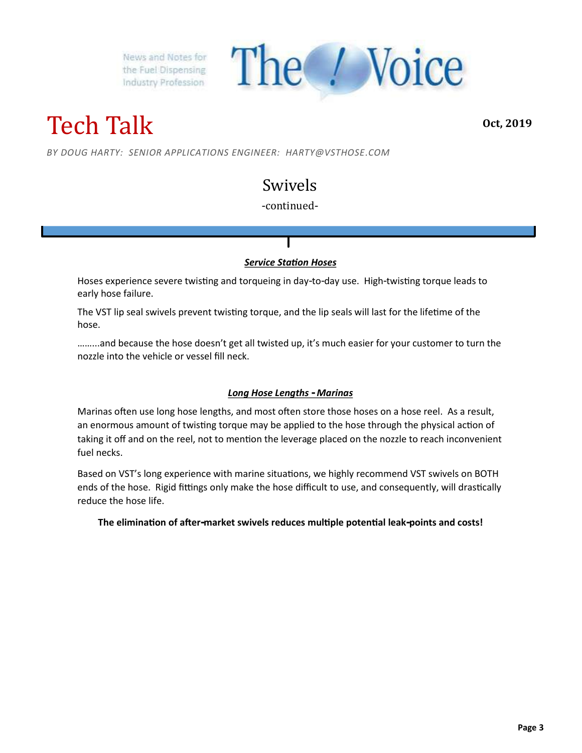The *! Voice* 

Tech Talk

**Oct, 2019**

*BY DOUG HARTY: SENIOR APPLICATIONS ENGINEER: HARTY@VSTHOSE.COM*

## Swivels

#### -continued-

#### *Service Station Hoses*

Hoses experience severe twisting and torqueing in day-to-day use. High-twisting torque leads to early hose failure.

The VST lip seal swivels prevent twisting torque, and the lip seals will last for the lifetime of the hose.

……...and because the hose doesn't get all twisted up, it's much easier for your customer to turn the nozzle into the vehicle or vessel fill neck.

#### *Long Hose Lengths - Marinas*

Marinas often use long hose lengths, and most often store those hoses on a hose reel. As a result, an enormous amount of twisting torque may be applied to the hose through the physical action of taking it off and on the reel, not to mention the leverage placed on the nozzle to reach inconvenient fuel necks.

Based on VST's long experience with marine situations, we highly recommend VST swivels on BOTH ends of the hose. Rigid fittings only make the hose difficult to use, and consequently, will drastically reduce the hose life.

**The elimination of after-market swivels reduces multiple potential leak-points and costs!**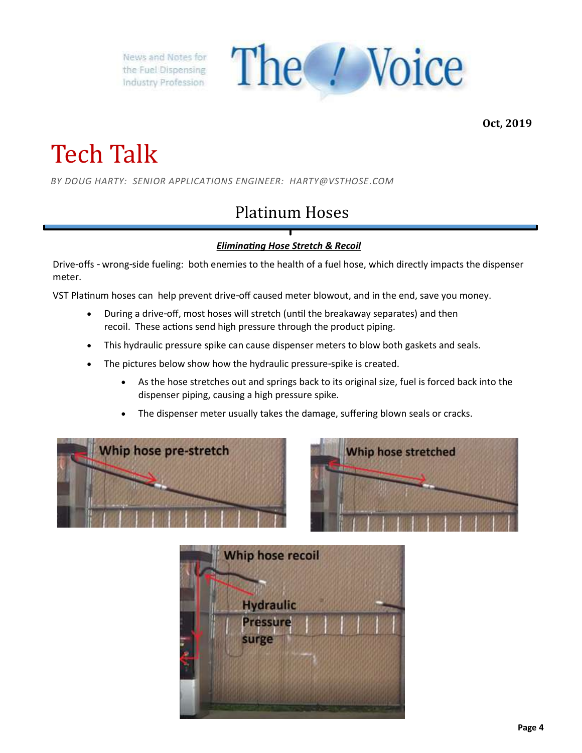

**Oct, 2019**

# Tech Talk

*BY DOUG HARTY: SENIOR APPLICATIONS ENGINEER: HARTY@VSTHOSE.COM*

## Platinum Hoses

#### *Eliminating Hose Stretch & Recoil*

Drive-offs - wrong-side fueling: both enemies to the health of a fuel hose, which directly impacts the dispenser meter.

VST Platinum hoses can help prevent drive-off caused meter blowout, and in the end, save you money.

- During a drive-off, most hoses will stretch (until the breakaway separates) and then recoil. These actions send high pressure through the product piping.
- This hydraulic pressure spike can cause dispenser meters to blow both gaskets and seals.
- The pictures below show how the hydraulic pressure-spike is created.
	- As the hose stretches out and springs back to its original size, fuel is forced back into the dispenser piping, causing a high pressure spike.
	- The dispenser meter usually takes the damage, suffering blown seals or cracks.





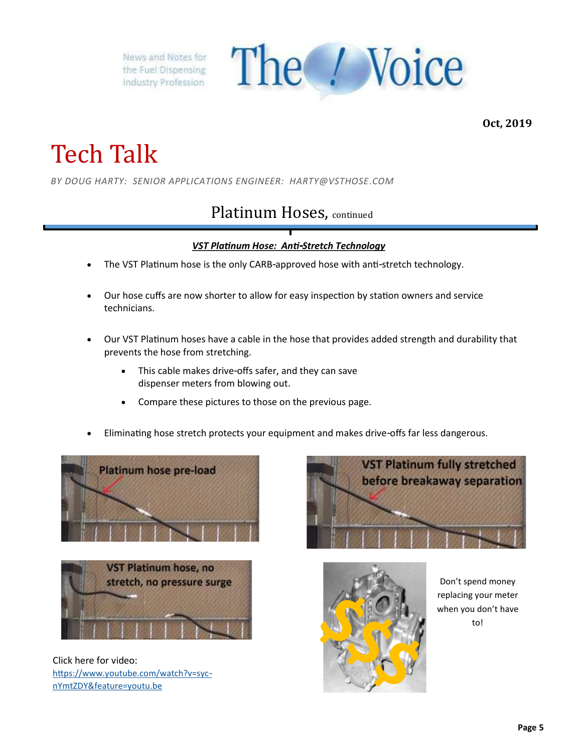

**Oct, 2019**

## Tech Talk

*BY DOUG HARTY: SENIOR APPLICATIONS ENGINEER: HARTY@VSTHOSE.COM*

### Platinum Hoses, continued

#### *VST Platinum Hose: Anti-Stretch Technology*

- The VST Platinum hose is the only CARB-approved hose with anti-stretch technology.
- Our hose cuffs are now shorter to allow for easy inspection by station owners and service technicians.
- Our VST Platinum hoses have a cable in the hose that provides added strength and durability that prevents the hose from stretching.
	- This cable makes drive-offs safer, and they can save dispenser meters from blowing out.
	- Compare these pictures to those on the previous page.
- Eliminating hose stretch protects your equipment and makes drive-offs far less dangerous.





Click here for video: [https://www.youtube.com/watch?v=syc](https://www.youtube.com/watch?v=syc-nYmtZDY&feature=youtu.be)[nYmtZDY&feature=youtu.be](https://www.youtube.com/watch?v=syc-nYmtZDY&feature=youtu.be)





Don't spend money replacing your meter when you don't have to!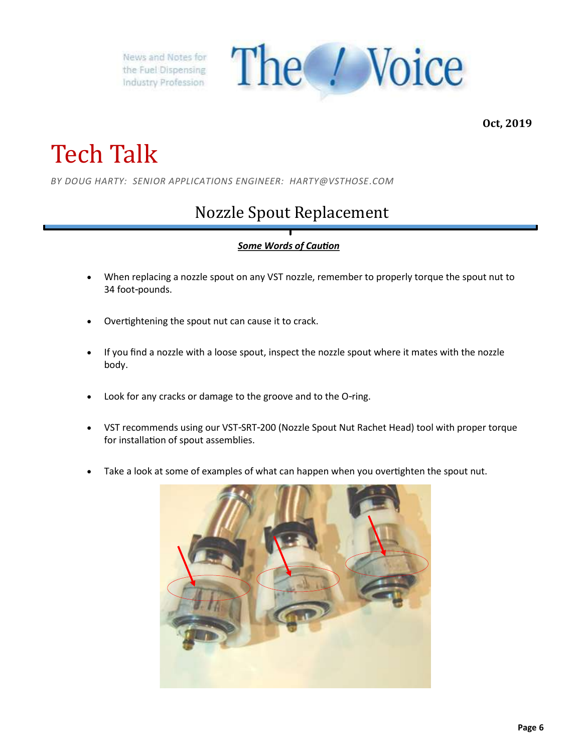

**Oct, 2019**

# Tech Talk

*BY DOUG HARTY: SENIOR APPLICATIONS ENGINEER: HARTY@VSTHOSE.COM*

## Nozzle Spout Replacement

#### *Some Words of Caution*

- When replacing a nozzle spout on any VST nozzle, remember to properly torque the spout nut to 34 foot-pounds.
- Overtightening the spout nut can cause it to crack.
- If you find a nozzle with a loose spout, inspect the nozzle spout where it mates with the nozzle body.
- Look for any cracks or damage to the groove and to the O-ring.
- VST recommends using our VST-SRT-200 (Nozzle Spout Nut Rachet Head) tool with proper torque for installation of spout assemblies.
- Take a look at some of examples of what can happen when you overtighten the spout nut.

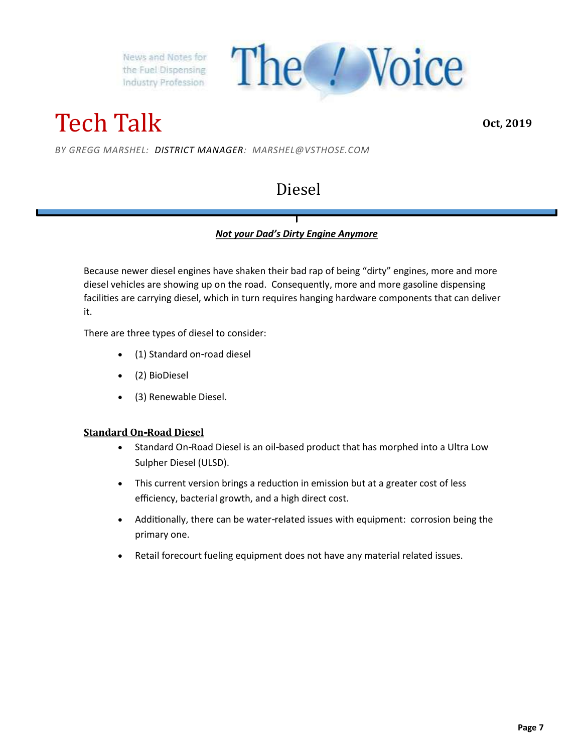

Tech Talk

**Oct, 2019**

*BY GREGG MARSHEL: DISTRICT MANAGER: MARSHEL@VSTHOSE.COM*

### Diesel

#### *Not your Dad's Dirty Engine Anymore*

Because newer diesel engines have shaken their bad rap of being "dirty" engines, more and more diesel vehicles are showing up on the road. Consequently, more and more gasoline dispensing facilities are carrying diesel, which in turn requires hanging hardware components that can deliver it.

There are three types of diesel to consider:

- (1) Standard on-road diesel
- (2) BioDiesel
- (3) Renewable Diesel.

#### **Standard On-Road Diesel**

- Standard On-Road Diesel is an oil-based product that has morphed into a Ultra Low Sulpher Diesel (ULSD).
- This current version brings a reduction in emission but at a greater cost of less efficiency, bacterial growth, and a high direct cost.
- Additionally, there can be water-related issues with equipment: corrosion being the primary one.
- Retail forecourt fueling equipment does not have any material related issues.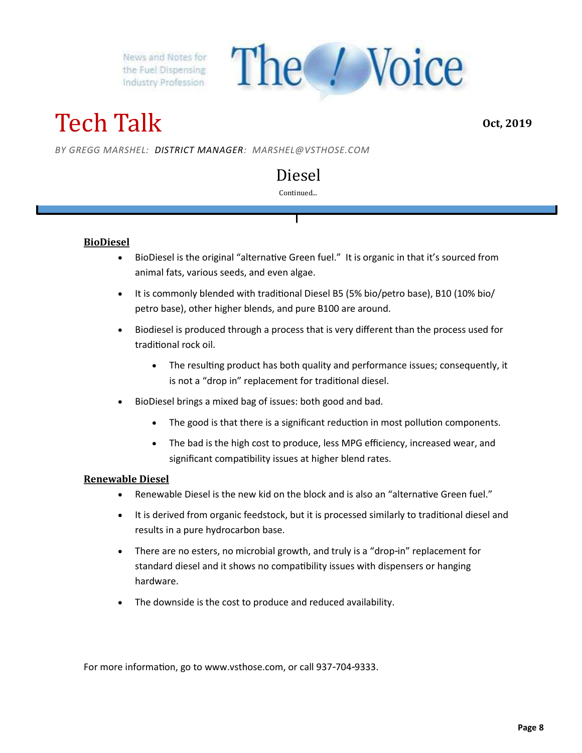Tech Talk

**Oct, 2019**

*BY GREGG MARSHEL: DISTRICT MANAGER: MARSHEL@VSTHOSE.COM*

### Diesel

The / Voice

#### Continued...

#### **BioDiesel**

- BioDiesel is the original "alternative Green fuel." It is organic in that it's sourced from animal fats, various seeds, and even algae.
- It is commonly blended with traditional Diesel B5 (5% bio/petro base), B10 (10% bio/ petro base), other higher blends, and pure B100 are around.
- Biodiesel is produced through a process that is very different than the process used for traditional rock oil.
	- The resulting product has both quality and performance issues; consequently, it is not a "drop in" replacement for traditional diesel.
- BioDiesel brings a mixed bag of issues: both good and bad.
	- The good is that there is a significant reduction in most pollution components.
	- The bad is the high cost to produce, less MPG efficiency, increased wear, and significant compatibility issues at higher blend rates.

#### **Renewable Diesel**

- Renewable Diesel is the new kid on the block and is also an "alternative Green fuel."
- It is derived from organic feedstock, but it is processed similarly to traditional diesel and results in a pure hydrocarbon base.
- There are no esters, no microbial growth, and truly is a "drop-in" replacement for standard diesel and it shows no compatibility issues with dispensers or hanging hardware.
- The downside is the cost to produce and reduced availability.

For more information, go to www.vsthose.com, or call 937-704-9333.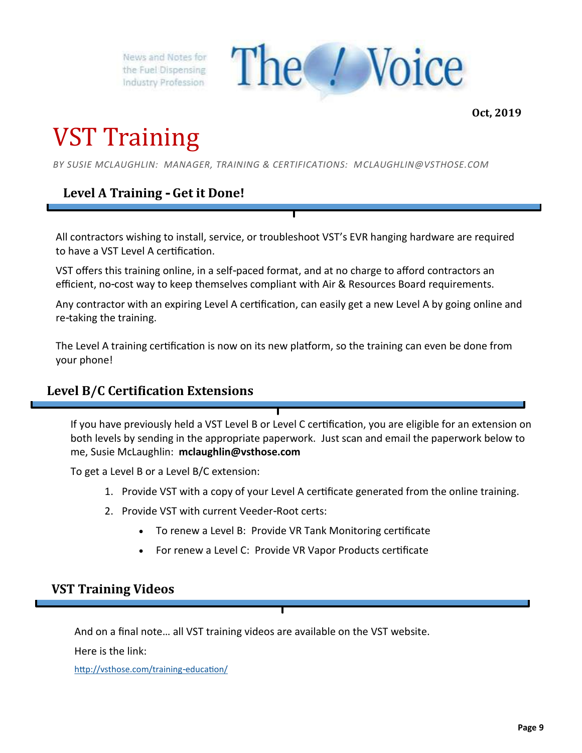

**Oct, 2019**

## VST Training

*BY SUSIE MCLAUGHLIN: MANAGER, TRAINING & CERTIFICATIONS: MCLAUGHLIN@VSTHOSE.COM*

#### **Level A Training - Get it Done!**

All contractors wishing to install, service, or troubleshoot VST's EVR hanging hardware are required to have a VST Level A certification.

VST offers this training online, in a self-paced format, and at no charge to afford contractors an efficient, no-cost way to keep themselves compliant with Air & Resources Board requirements.

Any contractor with an expiring Level A certification, can easily get a new Level A by going online and re-taking the training.

The Level A training certification is now on its new platform, so the training can even be done from your phone!

#### **Level B/C Certification Extensions**

If you have previously held a VST Level B or Level C certification, you are eligible for an extension on both levels by sending in the appropriate paperwork. Just scan and email the paperwork below to me, Susie McLaughlin: **mclaughlin@vsthose.com**

To get a Level B or a Level B/C extension:

- 1. Provide VST with a copy of your Level A certificate generated from the online training.
- 2. Provide VST with current Veeder-Root certs:
	- To renew a Level B: Provide VR Tank Monitoring certificate
	- For renew a Level C: Provide VR Vapor Products certificate

#### **VST Training Videos**

And on a final note… all VST training videos are available on the VST website.

Here is the link:

<http://vsthose.com/training-education/>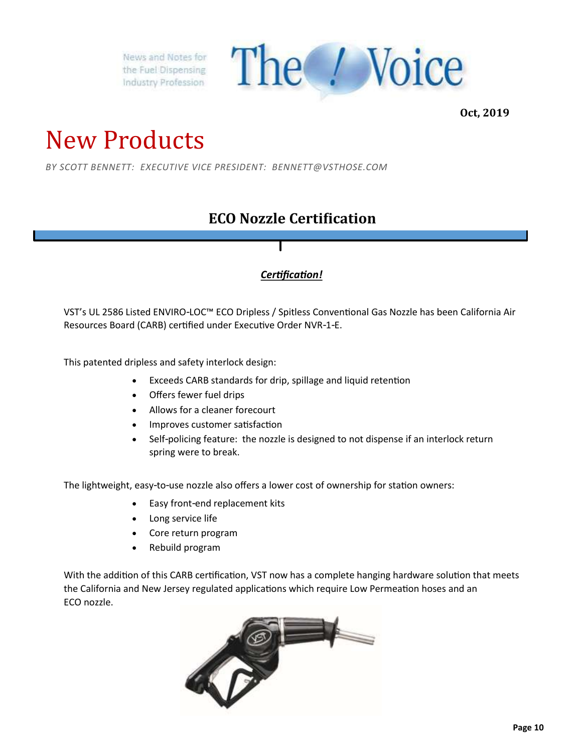

**Oct, 2019**

## New Products

*BY SCOTT BENNETT: EXECUTIVE VICE PRESIDENT: BENNETT@VSTHOSE.COM*

### **ECO Nozzle Certification**

#### *Certification!*

VST's UL 2586 Listed ENVIRO-LOC™ ECO Dripless / Spitless Conventional Gas Nozzle has been California Air Resources Board (CARB) certified under Executive Order NVR-1-E.

This patented dripless and safety interlock design:

- Exceeds CARB standards for drip, spillage and liquid retention
- Offers fewer fuel drips
- Allows for a cleaner forecourt
- Improves customer satisfaction
- Self-policing feature: the nozzle is designed to not dispense if an interlock return spring were to break.

The lightweight, easy-to-use nozzle also offers a lower cost of ownership for station owners:

- Easy front-end replacement kits
- Long service life
- Core return program
- Rebuild program

With the addition of this CARB certification, VST now has a complete hanging hardware solution that meets the California and New Jersey regulated applications which require Low Permeation hoses and an ECO nozzle.

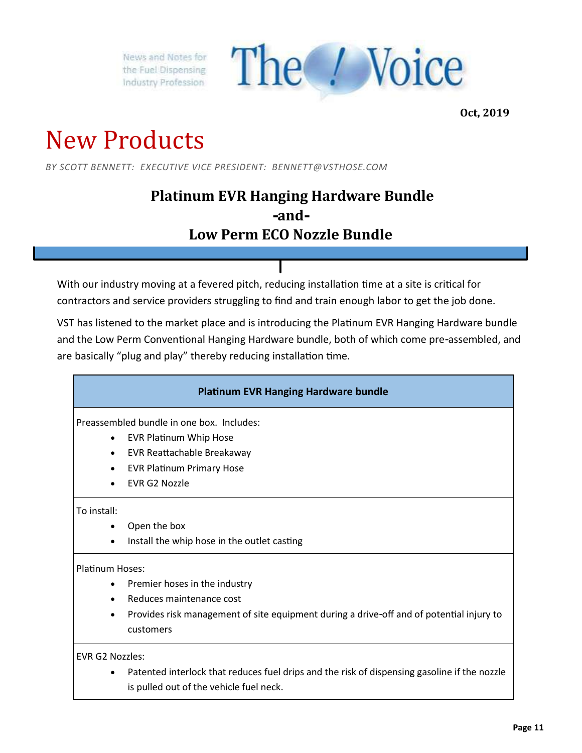

**Oct, 2019**

## New Products

*BY SCOTT BENNETT: EXECUTIVE VICE PRESIDENT: BENNETT@VSTHOSE.COM*

### **Platinum EVR Hanging Hardware Bundle -and-Low Perm ECO Nozzle Bundle**

With our industry moving at a fevered pitch, reducing installation time at a site is critical for contractors and service providers struggling to find and train enough labor to get the job done.

VST has listened to the market place and is introducing the Platinum EVR Hanging Hardware bundle and the Low Perm Conventional Hanging Hardware bundle, both of which come pre-assembled, and are basically "plug and play" thereby reducing installation time.

#### **Platinum EVR Hanging Hardware bundle**

Preassembled bundle in one box. Includes:

- EVR Platinum Whip Hose
- EVR Reattachable Breakaway
- EVR Platinum Primary Hose
- EVR G2 Nozzle

#### To install:

- Open the box
- Install the whip hose in the outlet casting

#### Platinum Hoses:

- Premier hoses in the industry
- Reduces maintenance cost
- Provides risk management of site equipment during a drive-off and of potential injury to customers

EVR G2 Nozzles:

Patented interlock that reduces fuel drips and the risk of dispensing gasoline if the nozzle is pulled out of the vehicle fuel neck.